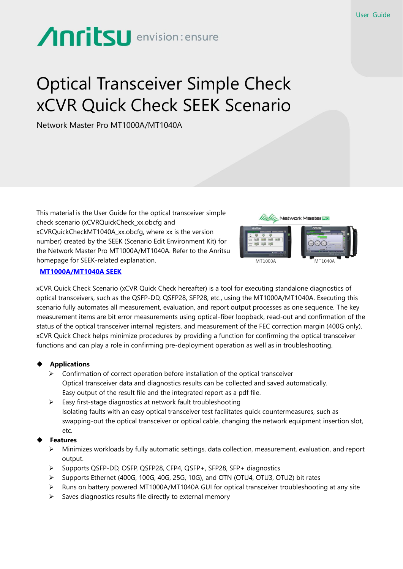# **Anritsu** envision: ensure

# Optical Transceiver Simple Check xCVR Quick Check SEEK Scenario

Network Master Pro MT1000A/MT1040A

This material is the User Guide for the optical transceiver simple check scenario (xCVRQuickCheck\_xx.obcfg and xCVRQuickCheckMT1040A\_xx.obcfg, where xx is the version number) created by the SEEK (Scenario Edit Environment Kit) for the Network Master Pro MT1000A/MT1040A. Refer to the Anritsu homepage for SEEK-related explanation.



## **[MT1000A/MT1040A SEEK](https://www.anritsu.com/en-US/test-measurement/solutions/mt1000a-mt1100a-01/seek)**

xCVR Quick Check Scenario (xCVR Quick Check hereafter) is a tool for executing standalone diagnostics of optical transceivers, such as the QSFP-DD, QSFP28, SFP28, etc., using the MT1000A/MT1040A. Executing this scenario fully automates all measurement, evaluation, and report output processes as one sequence. The key measurement items are bit error measurements using optical-fiber loopback, read-out and confirmation of the status of the optical transceiver internal registers, and measurement of the FEC correction margin (400G only). xCVR Quick Check helps minimize procedures by providing a function for confirming the optical transceiver functions and can play a role in confirming pre-deployment operation as well as in troubleshooting.

## ◆ **Applications**

- $\triangleright$  Confirmation of correct operation before installation of the optical transceiver Optical transceiver data and diagnostics results can be collected and saved automatically. Easy output of the result file and the integrated report as a pdf file.
- ➢ Easy first-stage diagnostics at network fault troubleshooting Isolating faults with an easy optical transceiver test facilitates quick countermeasures, such as swapping-out the optical transceiver or optical cable, changing the network equipment insertion slot, etc.

#### ◆ **Features**

- ➢ Minimizes workloads by fully automatic settings, data collection, measurement, evaluation, and report output.
- ➢ Supports QSFP-DD, OSFP, QSFP28, CFP4, QSFP+, SFP28, SFP+ diagnostics
- ➢ Supports Ethernet (400G, 100G, 40G, 25G, 10G), and OTN (OTU4, OTU3, OTU2) bit rates
- ➢ Runs on battery powered MT1000A/MT1040A GUI for optical transceiver troubleshooting at any site
- $\triangleright$  Saves diagnostics results file directly to external memory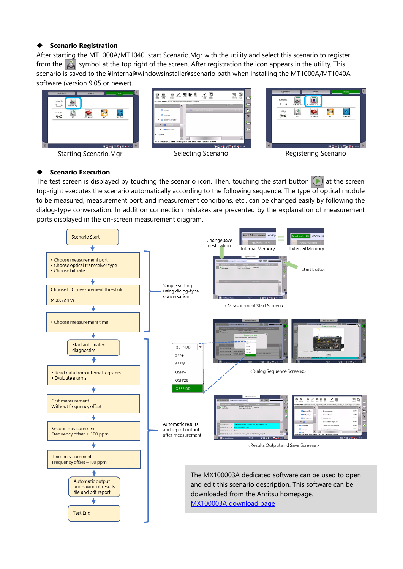#### **Scenario Registration**

After starting the MT1000A/MT1040, start Scenario.Mgr with the utility and select this scenario to register from the  $\mathbb{A}$  symbol at the top right of the screen. After registration the icon appears in the utility. This scenario is saved to the ¥Internal¥windowsinstaller¥scenario path when installing the MT1000A/MT1040A software (version 9.05 or newer).



#### **Scenario Execution**

The test screen is displayed by touching the scenario icon. Then, touching the start button  $\Box$  at the screen top-right executes the scenario automatically according to the following sequence. The type of optical module to be measured, measurement port, and measurement conditions, etc., can be changed easily by following the dialog-type conversation. In addition connection mistakes are prevented by the explanation of measurement ports displayed in the on-screen measurement diagram.